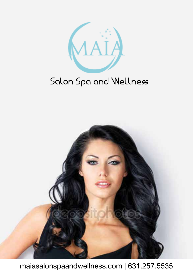

## Salon Spa and Wellness



maiasalonspaandwellness.com | 631.257.5535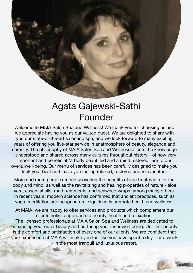### Agata Gajewski-Sathi Founder

Welcome to MAIA Salon Spa and Wellness! We thank you for choosing us and we appreciate having you as our valued guest. We are delighted to share with you our state-of-the-art salonand spa, and we look forward to many exciting years of offering you five-star service in anatmosphere of beauty, elegance and serenity. The philosophy of MAIA Salon Spa and Wellnessreflects the knowledge - understood and shared across many cultures throughout history – of how very important and beneficial "a body beautified and a mind restored" are to our overallwell-being. Our menu of services has been carefully designed to make you look your best and leave you feeling relaxed, restored and rejuvenated.

More and more people are rediscovering the benefits of spa treatments for the body and mind, as well as the revitalizing and healing properties of nature - aloe vera, essential oils, mud treatments, and seaweed wraps, among many others. In recent years, modern science has confirmed that ancient practices, such as yoga, meditation and acupuncture, significantly promote health and wellness.

At MAIA, we are happy to offer services and products which complement our clients'holistic approach to beauty, health and relaxation.

The licensed professionals at MAIA Salon Spa and Wellness are dedicated to enhancing your outer beauty and nurturing your inner well-being. Our first priority is the comfort and satisfaction of every one of our clients. We are confident that your experience at MAIA will make you feel like you have spent a day – or a week - in the most tranquil and luxurious resort.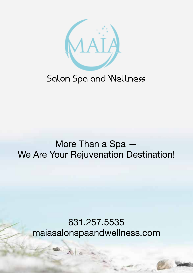

### Salon Spa and Wellness

### More Than a Spa — We Are Your Rejuvenation Destination!

### 631.257.5535 maiasalonspaandwellness.com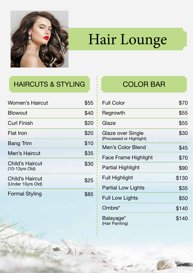

# Hair Lounge

### HAIRCUTS & STYLING **FIND THE COLOR BAR**

| <b>Women's Haircut</b>               | \$55 |
|--------------------------------------|------|
| <b>Blowout</b>                       | \$40 |
| <b>Curl Finish</b>                   | \$20 |
| Flat Iron                            | \$20 |
| Bang Trim                            | \$10 |
| Men's Haircut                        | \$35 |
| Child's Haircut<br>(10-13yrs Old)    | \$30 |
| Child's Haircut<br>(Under 10yrs Old) | \$25 |
| <b>Formal Styling</b>                |      |

| <b>Full Color</b>                             | \$70  |
|-----------------------------------------------|-------|
| Regrowth                                      | \$55  |
| Glaze                                         | \$55  |
| Glaze over Single<br>(Processed or Highlight) | \$30  |
| Men's Color Blend                             | \$45  |
| Face Frame Highlight                          | \$70  |
| Partial Highlight                             | \$90  |
| <b>Full Highlight</b>                         | \$130 |
| Partial Low Lights                            | \$35  |
| Full Low Lights                               | \$50  |
| Ombre*                                        | \$140 |
| Balayage*<br>(Hair Painting)                  | \$140 |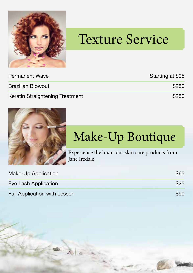

# Texture Service

| Permanent Wave                  | Starting at \$95 |
|---------------------------------|------------------|
| Brazilian Blowout               | \$250            |
| Keratin Straightening Treatment | \$250            |



# Make-Up Boutique

Experience the luxurious skin care products from Jane Iredale

| Make-Up Application                 | \$65 |
|-------------------------------------|------|
| Eye Lash Application                | \$25 |
| <b>Full Application with Lesson</b> | \$90 |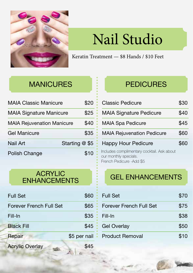

# Nail Studio

Keratin Treatment — \$8 Hands / \$10 Feet

### MANICURES **PEDICURES**

| <b>MAIA Classic Manicure</b>      | \$20 |
|-----------------------------------|------|
| <b>MAIA Signature Manicure</b>    | \$25 |
| <b>MAIA Rejuvenation Manicure</b> | \$40 |
| <b>Gel Manicure</b>               | \$35 |
| Starting @ \$5<br><b>Nail Art</b> |      |
| Polish Change                     | \$10 |

### ACRYLIC AURITUDE GEL ENHANCEMENTS

| <b>Full Set</b>                | \$60         |
|--------------------------------|--------------|
| <b>Forever French Full Set</b> | \$65         |
| Fill-In                        | \$35         |
| <b>Black Fill</b>              | \$45         |
| Repair                         | \$5 per nail |
| <b>Acrylic Overlay</b>         |              |

| <b>Classic Pedicure</b>                    | \$30 |
|--------------------------------------------|------|
| <b>MAIA Signature Pedicure</b>             | \$40 |
| <b>MAIA Spa Pedicure</b>                   | \$45 |
| <b>MAIA Rejuvenation Pedicure</b>          | \$60 |
| <b>Happy Hour Pedicure</b>                 | \$60 |
| Includes complimentary cocktail. Ask about |      |

our monthly specials. French Pedicure -Add \$5

| <b>Full Set</b>                | \$70 |
|--------------------------------|------|
| <b>Forever French Full Set</b> | \$75 |
| Fill-In                        | \$38 |
| <b>Gel Overlay</b>             | \$50 |
| <b>Product Removal</b>         | \$10 |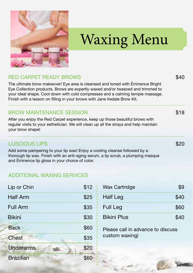

# Waxing Menu

### RED CARPET READY BROWS

The ultimate brow makeover! Eye area is cleansed and toned with Éminence Bright Eye Collection products. Brows are expertly waxed and/or tweezed and trimmed to your ideal shape. Cool down with cold compresses and a calming temple massage. Finish with a lesson on filling in your brows with Jane Iredale Brow Kit.

#### BROW MAINTENANCE SESSION

After you enjoy the Red Carpet experience, keep up those beautiful brows with regular visits to your esthetician. We will clean up all the strays and help maintain your brow shape!

#### LUSCIOUS LIPS

Add some pampering to your lip wax! Enjoy a cooling cleanse followed by a thorough lip wax. Finish with an anti-aging serum, a lip scrub, a plumping masque and Éminence lip gloss in your choice of color.

#### ADDITIONAL WAXING SERVICES

| Lip or Chin      | \$12 |
|------------------|------|
| <b>Half Arm</b>  | \$25 |
| <b>Full Arm</b>  | \$35 |
| <b>Bikini</b>    | \$30 |
| <b>Back</b>      | \$60 |
| <b>Chest</b>     | \$35 |
| <b>Underarms</b> | \$20 |
| <b>Brazilian</b> | \$60 |

| <b>Wax Cartridge</b> | \$9  |
|----------------------|------|
| Half Leg             | \$40 |
| <b>Full Leg</b>      | \$60 |
| <b>Bikini Plus</b>   | \$40 |

Please call in advance to discuss custom waxing)

\$18

\$40

\$20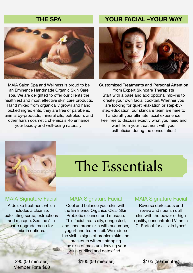

MAIA Salon Spa and Wellness is proud to be an Éminence Handmade Organic Skin Care spa. We are delighted to offer our clients the healthiest and most effective skin care products. Hand mixed from organically grown and hand picked ingredients, they are free of parabens, animal by-products, mineral oils, petroleum, and other harsh cosmetic chemicals -to enhance your beauty and well-being naturally!

### THE SPAN YOUR FACIAL –YOUR WAY



Customized Treatments and Personal Attention from Expert Skincare Therapists Start with a base and add optional mix-ins to create your own facial cocktail. Whether you are looking for quiet relaxation or step-bystep education, our skincare team are here to handcraft your ultimate facial experience. Feel free to discuss exactly what you need and want from your treatment with your esthetician during the consultation!



#### **MAIA Signature Facial**

A deluxe treatment which includes a cleanse, exfoliating scrub, extractions and masque. See the á la carte upgrade menu for mix-in options.

> \$90 (50 minutes) Member Rate \$60

# The Essentials

#### **MAIA Signature Facial**

Cool and balance your skin with the Eminence Organics Clear Skin Probiotic cleanser and masque. This facial treats oily, congested, and acne prone skin with cucumber, yogurt and tea tree oil. We reduce the visible signs of problem skin and breakouts without stripping the skin of moisture, leaving your skin purified and detoxified.

\$105 (50 minutes) \$105 (50 minutes)

#### **MAIA Signature Facial**

Reverse dark spots and revive and nourish dull skin with the power of high quality, concentrated Vitamin C. Perfect for all skin types!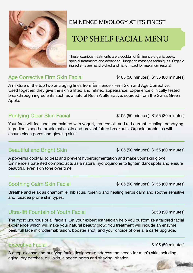

### ÉMINENCE MIXOLOGY AT ITS FINEST

### TOP SHELF FACIAL MENU

These luxurious treatments are a cocktail of Éminence organic peels, special treatments and advanced Hungarian massage techniques. Organic ingredients are hand picked and hand mixed for maximum results!

### Age Corrective Firm Skin Facial

\$105 (50 minutes) \$155 (80 minutes)

A mixture of the top two anti aging lines from Éminence - Firm Skin and Age Corrective. Used together, they give the skin a lifted and refined appearance. Experience clinically tested breakthrough ingredients such as a natural Retin A alternative, sourced from the Swiss Green Apple.

### Purifying Clear Skin Facial

Your face will feel cool and calmed with yogurt, tea tree oil, and red currant. Healing, nondrying ingredients soothe problematic skin and prevent future breakouts. Organic probiotics will ensure clean pores and glowing skin!

### Beautiful and Bright Skin

A powerful cocktail to treat and prevent hyperpigmentation and make your skin glow! Éminence's patented complex acts as a natural hydroquinone to lighten dark spots and ensure beautiful, even skin tone over time.

### Soothing Calm Skin Facial

\$105 (50 minutes) \$155 (80 minutes)

Breathe and relax as chamomile, hibiscus, rosehip and healing herbs calm and soothe sensitive and rosacea prone skin types.

### Ultra-lift Fountain of Youth Facial

The most luxurious of all facials. Let your expert esthetician help you customize a tailored facial experience which will make your natural beauty glow! You treatment will include an enzyme peel, full face microdermabrasion, booster shot, and your choice of one á la carte upgrade.

#### Executive Facial

A deep-cleanse and purifying facial designed to address the needs for men's skin including: aging, dry patches, dull skin, clogged pores and shaving irritation.

\$105 (50 minutes) \$155 (80 minutes)

\$105 (50 minutes) \$155 (80 minutes)

\$250 (90 minutes)

\$105 (50 minutes)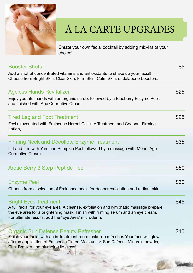

## Á LA CARTE UPGRADES

\$15

Create your own facial cocktail by adding mix-ins of your choice!

### Booster Shots Add a shot of concentrated vitamins and antioxidants to shake up your facial! Choose from Bright Skin, Clear Skin, Firm Skin, Calm Skin, or Jalapeno boosters. Ageless Hands Revitalizer Enjoy youthful hands with an organic scrub, followed by a Blueberry Enzyme Peel, and finished with Age Corrective Cream. Tired Leg and Foot Treatment Feel rejuvenated with Éminence Herbal Cellulite Treatment and Coconut Firming Lotion, Firming Neck and Décolleté Enzyme Treatment Lift and firm with Yam and Pumpkin Peel followed by a massage with Monoi Age Corrective Cream. Enzyme Peel Choose from a selection of Éminence peels for deeper exfoliation and radiant skin! Bright Eyes Treatment A full facial for your eye area! A cleanse, exfoliation and lymphatic massage prepare the eye area for a brightening mask. Finish with firming serum and an eye cream. For ultimate results, add the 'Eye Area' microderm. Arctic Berry 3 Step Peptide Peel \$5 \$25 \$25 \$35 \$30 \$45 \$50

Organic Sun Defense Beauty Refresher Finish your facial with an in-treatment room make-up refresher. Your face will glow afteran application of Éminence Tinted Moisturizer, Sun Defense Minerals powder,

Chai Bronzer and plumping lip gloss!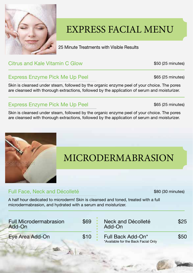

## EXPRESS FACIAL MENU

25 Minute Treatments with Visible Results

### Citrus and Kale Vitamin C Glow

\$50 (25 minutes)

\$65 (25 minutes)

\$65 (25 minutes)

### Express Enzyme Pick Me Up Peel

Skin is cleansed under steam, followed by the organic enzyme peel of your choice. The pores are cleansed with thorough extractions, followed by the application of serum and moisturizer.

### Express Enzyme Pick Me Up Peel

Skin is cleansed under steam, followed by the organic enzyme peel of your choice. The pores are cleansed with thorough extractions, followed by the application of serum and moisturizer.



## MICRODERMABRASION

### Full Face, Neck and Décolleté

\$80 (30 minutes)

A half hour dedicated to microderm! Skin is cleansed and toned, treated with a full microdermabrasion, and hydrated with a serum and moisturizer.

| <b>Full Microdermabrasion</b><br>Add-On | \$69 | Neck and Décolleté<br>Add-On                             | \$25 |
|-----------------------------------------|------|----------------------------------------------------------|------|
| Eye Area Add-On                         | \$10 | Full Back Add-On*<br>*Available for the Back Facial Only | \$50 |
|                                         |      |                                                          |      |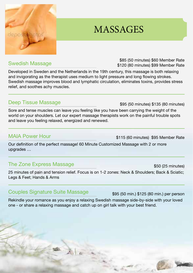### Swedish Massage

Developed in Sweden and the Netherlands in the 19th century, this massage is both relaxing and invigorating as the therapist uses medium to light pressure and long flowing strokes. Swedish massage improves blood and lymphatic circulation, eliminates toxins, provides stress relief, and soothes achy muscles.

### Deep Tissue Massage

Sore and tense muscles can leave you feeling like you have been carrying the weight of the world on your shoulders. Let our expert massage therapists work on the painful trouble spots and leave you feeling relaxed, energized and renewed.

#### MAIA Power Hour

Our definition of the perfect massage! 60 Minute Customized Massage with 2 or more upgrades …

### The Zone Express Massage

25 minutes of pain and tension relief. Focus is on 1-2 zones: Neck & Shoulders; Back & Sciatic; Legs & Feet; Hands & Arms

### Couples Signature Suite Massage

Rekindle your romance as you enjoy a relaxing Swedish massage side-by-side with your loved one - or share a relaxing massage and catch up on girl talk with your best friend.

MASSAGES

\$85 (50 minutes) \$60 Member Rate \$120 (80 minutes) \$99 Member Rate

\$95 (50 minutes) \$135 (80 minutes)

\$115 (60 minutes) \$95 Member Rate

\$95 (50 min.) \$125 (80 min.) per person

\$50 (25 minutes)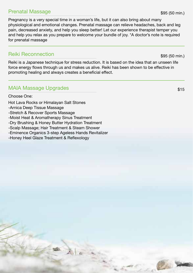#### Prenatal Massage

Pregnancy is a very special time in a woman's life, but it can also bring about many physiological and emotional changes. Prenatal massage can relieve headaches, back and leg pain, decreased anxiety, and help you sleep better! Let our experience therapist temper you and help you relax as you prepare to welcome your bundle of joy. \*A doctor's note is required for prenatal massage

#### Reiki Reconnection

Reiki is a Japanese technique for stress reduction. It is based on the idea that an unseen life force energy flows through us and makes us alive. Reiki has been shown to be effective in promoting healing and always creates a beneficial effect.

### MAIA Massage Upgrades

Choose One:

- Hot Lava Rocks or Himalayan Salt Stones
- -Arnica Deep Tissue Massage
- -Stretch & Recover Sports Massage
- -Moist Heat & Aromatherapy Sinus Treatment
- -Dry Brushing & Honey Butter Hydration Treatment
- -Scalp Massage; Hair Treatment & Steam Shower
- -Eminence Organics 3-step Ageless Hands Revitalizer

-Honey Heel Glaze Treatment & Reflexology



\$95 (50 min.)

\$15

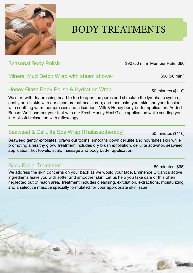## BODY TREATMENTS

### Seasonal Body Polish

### Mineral Mud Detox Wrap with steam shower

### Honey Glaze Body Polish & Hydration Wrap

We start with dry brushing head to toe to open the pores and stimulate the lymphatic system; gently polish skin with our signature oatmeal scrub; and then calm your skin and your tension with soothing warm compresses and a luxurious Milk & Honey body butter application. Added Bonus: We'll pamper your feet with our Fresh Honey Heel Glaze application while sending you into blissful relaxation with reflexology.

#### Seaweed & Cellulite Spa Wrap (Thalassotherapy)

 $\mathbb{A} \mid \mathbb{A}$ 

Seaweed gently exfoliates, draws out toxins, smooths down cellulite and nourishes skin while promoting a healthy glow. Treatment includes dry brush exfoliation, cellulite activator, seaweed application, hot towels, scalp massage and body butter application.

#### Back Facial Treatment

We address the skin concerns on your back as we would your face. Eminence Organics active ingredients leave you with softer and smoother skin. Let us help you take care of this often neglected out of reach area. Treatment includes cleansing, exfoliation, extractions, moisturizing and a selective masque specially formulated for your appropriate skin issue

50 minutes (\$110)

\$90 (50 min) Member Rate: \$60

50 minutes (\$110)

50 minutes (\$95)

\$90 (50 min.)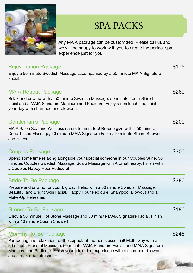

## SPA PACKS

Any MAIA package can be customized. Please call us and we will be happy to work with you to create the perfect spa experience just for you!

| <b>Rejuvenation Package</b><br>Enjoy a 50 minute Swedish Massage accompanied by a 50 minute MAIA Signature<br>Facial.                                                                               | \$175 |
|-----------------------------------------------------------------------------------------------------------------------------------------------------------------------------------------------------|-------|
| <b>MAIA Retreat Package</b>                                                                                                                                                                         | \$260 |
| Relax and unwind with a 50 minute Swedish Massage, 50 minute Youth Shield<br>facial and a MAIA Signature Manicure and Pedicure. Enjoy a spa lunch and finish<br>your day with shampoo and blowout.  |       |
| Gentleman's Package                                                                                                                                                                                 | \$200 |
| MAIA Salon Spa and Wellness caters to men, too! Re-energize with a 50 minute<br>Deep Tissue Massage, 50 minute MAIA Signature Facial, 10 minute Steam Shower<br>and Haircut.                        |       |
| <b>Couples Package</b>                                                                                                                                                                              | \$300 |
| Spend some time relaxing alongside your special someone in our Couples Suite. 50<br>minutes Couples Swedish Massage, Scalp Massage with Aromatherapy. Finish with<br>a Couples Happy Hour Pedicure! |       |
| <b>Bride-To-Be Package</b>                                                                                                                                                                          | \$280 |
| Prepare and unwind for your big day! Relax with a 50 minute Swedish Massage,<br>Beautiful and Bright Skin Facial, Happy Hour Pedicure, Shampoo, Blowout and a<br>Make-Up Refresher.                 |       |
| Groom-To-Be Package                                                                                                                                                                                 | \$180 |
| Enjoy a 50 minute Hot Stone Massage and 50 minute MAIA Signature Facial. Finish<br>with a 10 minute Steam Shower!                                                                                   |       |
| Mommy-To-Be Package                                                                                                                                                                                 | \$245 |
| Pampering and relaxation for the expectant mother is essential! Melt away with a                                                                                                                    |       |

Pampering and relaxation for the expectant mother is essential! Melt away with a 50 minute Prenatal Massage, 50 minute MAIA Signature Facial, and MAIA Signature Manicure and Pedicure. Finish your relaxation experience with a shampoo, blowout and a make-up refresher.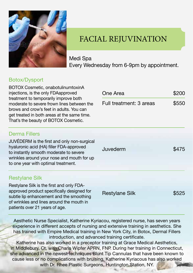

### FACIAL REJUVINATION

Medi Spa Every Wednesday from 6-9pm by appointment.

#### Botox/Dysport

| BOTOX Cosmetic, onabotulinumtoxinA<br>injections, is the only FDAapproved<br>treatment to temporarily improve both<br>moderate to severe frown lines between the<br>brows and crow's feet in adults. You can<br>get treated in both areas at the same time.<br>That's the beauty of BOTOX Cosmetic. | One Area                | \$200<br>\$550 |
|-----------------------------------------------------------------------------------------------------------------------------------------------------------------------------------------------------------------------------------------------------------------------------------------------------|-------------------------|----------------|
|                                                                                                                                                                                                                                                                                                     | Full treatment: 3 areas |                |
| <b>Derma Fillers</b>                                                                                                                                                                                                                                                                                |                         |                |
| JUVÉDERM is the first and only non-surgical<br>hyaluronic acid (HA) filler FDA-approved<br>to instantly smooth moderate to severe<br>wrinkles around your nose and mouth for up<br>to one year with optimal treatment.                                                                              | Juvederm                | \$475          |
| <b>Restylane Silk</b>                                                                                                                                                                                                                                                                               |                         |                |
| Restylane Silk is the first and only FDA-<br>approved product specifically designed for<br>subtle lip enhancement and the smoothing<br>of wrinkles and lines around the mouth in<br>patients over 21 years of age.                                                                                  | <b>Restylane Silk</b>   | \$525          |

Aesthetic Nurse Specialist, Katherine Kyriacou, registered nurse, has seven years experience in different accepts of nursing and extensive training in aesthetics. She has trained with Empire Medical training in New York City, in Botox, Dermal Fillers introduction, and advanced training certificate.

Katherine has also worked in a preceptor training at Grace Medical Aesthetics, in Middlebury, Ct, with Charis Wipfer APRN, FNP. During her training in Connecticut, she advanced in the newest techniques Blunt Tip Cannulas that have been known to cause less or no complications with bruising. Katherine Kyriacous has also worked with Dr. Rhee Plastic Surgeons, Huntington Station, NY.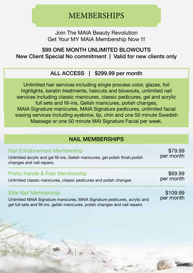### MEMBERSHIPS

Join The MAIA Beauty Revolution Get Your MY MAIA Membership Now !!!

### \$99 ONE MONTH UNLIMITED BLOWOUTS New Client Special No commitment | Valid for new clients only

### ALL ACCESS | \$299.99 per month

Unlimited hair services including single process color, glazes, foil highlights, keratin treatments, haircuts and blowouts, unlimited nail services including classic manicures, classic pedicures, gel and acrylic full sets and fill-ins, Gelish manicures, polish changes, MAIA Signature manicures, MAIA Signature pedicures, unlimited facial waxing services including eyebrow, lip, chin and one 50 minute Swedish Massage or one 50 minute MAI Signature Facial per week.

### NAIL MEMBERSHIPS

| Nail Enhabcement Membership<br>Unlimited acrylic and gel fill-ins, Gelish manicures, gel polish finish, polish<br>changes and nail repairs. | \$79.99<br>per month |
|---------------------------------------------------------------------------------------------------------------------------------------------|----------------------|
| <b>Pretty Hands &amp; Feet Membership</b>                                                                                                   | \$69.99              |
| Unlimited classic manicures, classic pedicures and polish changes                                                                           | per month            |
| <b>Elite Nail Membership</b>                                                                                                                | \$109.99             |
| Unlimited MAIA Signature manicures MAIA Signature pedicures acrylic and                                                                     | per month            |

Unlimited MAIA Signature manicures, MAIA Signature pedicures, acrylic and gel full sets and fill-ins. gelish manicures, polish changes and nail repairs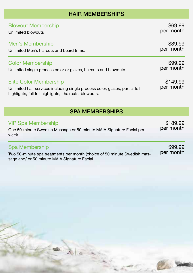### HAIR MEMBERSHIPS

| <b>Blowout Membership</b>                                                                                                                                                | \$69.99               |
|--------------------------------------------------------------------------------------------------------------------------------------------------------------------------|-----------------------|
| Unlimited blowouts                                                                                                                                                       | per month             |
| Men's Membership                                                                                                                                                         | \$39.99               |
| Unlimited Men's haircuts and beard trims.                                                                                                                                | per month             |
| <b>Color Membership</b>                                                                                                                                                  | \$99.99               |
| Unlimited single process color or glazes, haircuts and blowouts.                                                                                                         | per month             |
| <b>Elite Color Membership</b><br>Unlimited hair services including single process color, glazes, partial foil<br>highlights, full foil highlights, , haircuts, blowouts. | \$149.99<br>per month |

### SPA MEMBERSHIPS

| <b>VIP Spa Membership</b>                                                | \$189.99<br>per month |  |
|--------------------------------------------------------------------------|-----------------------|--|
| One 50-minute Swedish Massage or 50 minute MAIA Signature Facial per     |                       |  |
| week.                                                                    |                       |  |
| Spa Membership                                                           | \$99.99               |  |
| Two 50-minute spa treatments per month (choice of 50 minute Swedish mas- | per month             |  |

Two 50-minute spa treatments per month (choice of 50 minute Swedish massage and/ or 50 minute MAIA Signature Facial